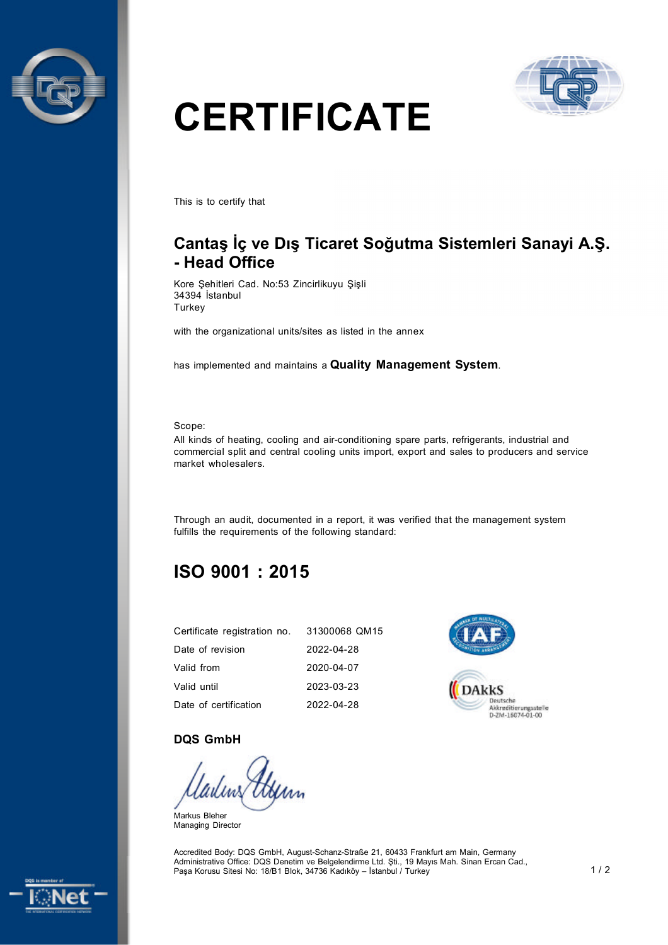



# **CERTIFICATE**

This is to certify that

# **Cantaş İç ve Dış Ticaret Soğutma Sistemleri Sanayi A.Ş. - Head Office**

Kore Şehitleri Cad. No:53 Zincirlikuyu Şişli 34394 İstanbul **Turkey** 

with the organizational units/sites as listed in the annex

has implemented and maintains a **Quality Management System**.

Scope:

All kinds of heating, cooling and air-conditioning spare parts, refrigerants, industrial and commercial split and central cooling units import, export and sales to producers and service market wholesalers.

Through an audit, documented in a report, it was verified that the management system fulfills the requirements of the following standard:

# **ISO 9001 : 2015**

| Certificate registration no. | 31300068 QM15 |
|------------------------------|---------------|
| Date of revision             | 2022-04-28    |
| Valid from                   | 2020-04-07    |
| Valid until                  | 2023-03-23    |
| Date of certification        | 2022-04-28    |



#### **DQS GmbH**

Markus Bleher Managing Director

Accredited Body: DQS GmbH, August-Schanz-Straße 21, 60433 Frankfurt am Main, Germany Administrative Office: DQS Denetim ve Belgelendirme Ltd. Şti., 19 Mayıs Mah. Sinan Ercan Cad., Paşa Korusu Sitesi No: 18/B1 Blok, 34736 Kadıköy – İstanbul / Turkey 1 / 2 1 / 2 1 / 2 1 / 2 1 / 2 1 / 2 1 / 2